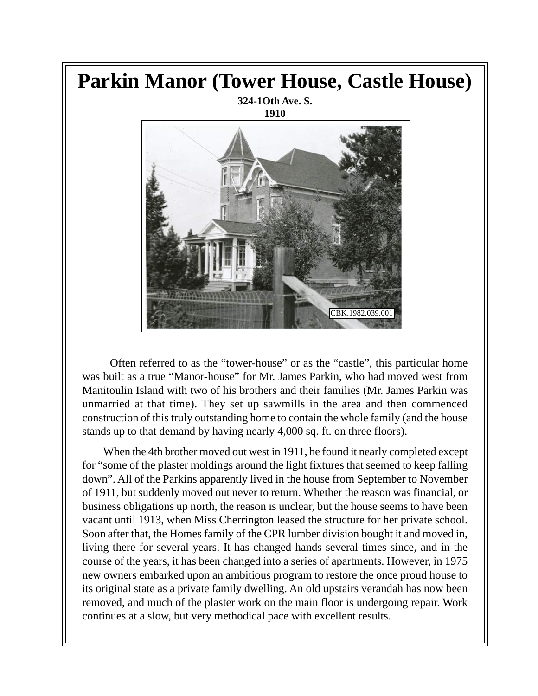## **Parkin Manor (Tower House, Castle House)**

**324-1Oth Ave. S. 1910**



 Often referred to as the "tower-house" or as the "castle", this particular home was built as a true "Manor-house" for Mr. James Parkin, who had moved west from Manitoulin Island with two of his brothers and their families (Mr. James Parkin was unmarried at that time). They set up sawmills in the area and then commenced construction of this truly outstanding home to contain the whole family (and the house stands up to that demand by having nearly 4,000 sq. ft. on three floors).

When the 4th brother moved out west in 1911, he found it nearly completed except for "some of the plaster moldings around the light fixtures that seemed to keep falling down". All of the Parkins apparently lived in the house from September to November of 1911, but suddenly moved out never to return. Whether the reason was financial, or business obligations up north, the reason is unclear, but the house seems to have been vacant until 1913, when Miss Cherrington leased the structure for her private school. Soon after that, the Homes family of the CPR lumber division bought it and moved in, living there for several years. It has changed hands several times since, and in the course of the years, it has been changed into a series of apartments. However, in 1975 new owners embarked upon an ambitious program to restore the once proud house to its original state as a private family dwelling. An old upstairs verandah has now been removed, and much of the plaster work on the main floor is undergoing repair. Work continues at a slow, but very methodical pace with excellent results.